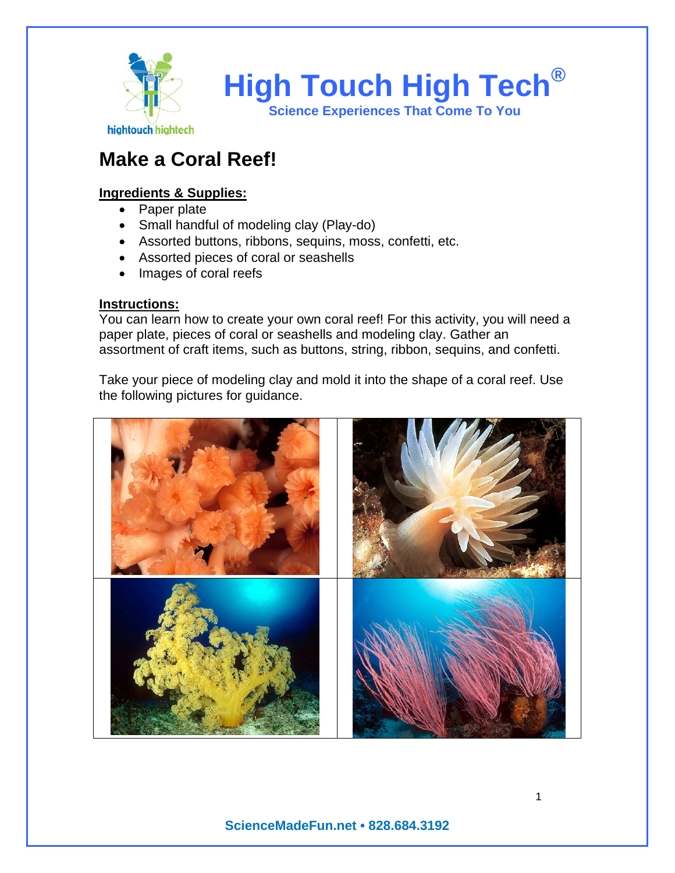

# **Make a Coral Reef!**

## **Ingredients & Supplies:**

- Paper plate
- Small handful of modeling clay (Play-do)
- Assorted buttons, ribbons, sequins, moss, confetti, etc.
- Assorted pieces of coral or seashells
- Images of coral reefs

### **Instructions:**

You can learn how to create your own coral reef! For this activity, you will need a paper plate, pieces of coral or seashells and modeling clay. Gather an assortment of craft items, such as buttons, string, ribbon, sequins, and confetti.

Take your piece of modeling clay and mold it into the shape of a coral reef. Use the following pictures for guidance.



**ScienceMadeFun.net • 828.684.3192**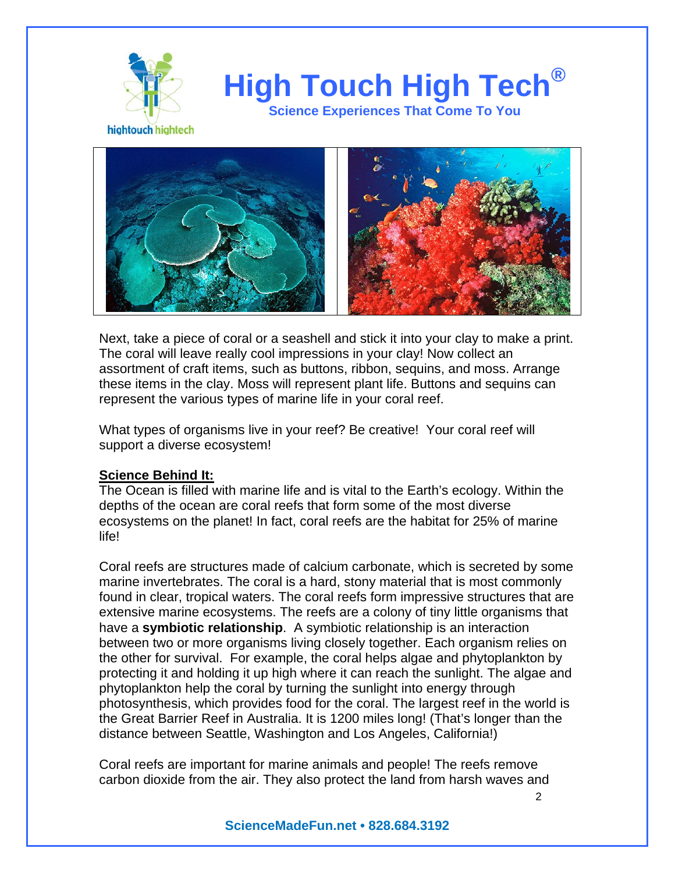

**High Touch High Tech®**

**Science Experiences That Come To You** 

hightouch hightech



Next, take a piece of coral or a seashell and stick it into your clay to make a print. The coral will leave really cool impressions in your clay! Now collect an assortment of craft items, such as buttons, ribbon, sequins, and moss. Arrange these items in the clay. Moss will represent plant life. Buttons and sequins can represent the various types of marine life in your coral reef.

What types of organisms live in your reef? Be creative! Your coral reef will support a diverse ecosystem!

### **Science Behind It:**

The Ocean is filled with marine life and is vital to the Earth's ecology. Within the depths of the ocean are coral reefs that form some of the most diverse ecosystems on the planet! In fact, coral reefs are the habitat for 25% of marine life!

Coral reefs are structures made of calcium carbonate, which is secreted by some marine invertebrates. The coral is a hard, stony material that is most commonly found in clear, tropical waters. The coral reefs form impressive structures that are extensive marine ecosystems. The reefs are a colony of tiny little organisms that have a **symbiotic relationship**. A symbiotic relationship is an interaction between two or more organisms living closely together. Each organism relies on the other for survival. For example, the coral helps algae and phytoplankton by protecting it and holding it up high where it can reach the sunlight. The algae and phytoplankton help the coral by turning the sunlight into energy through photosynthesis, which provides food for the coral. The largest reef in the world is the Great Barrier Reef in Australia. It is 1200 miles long! (That's longer than the distance between Seattle, Washington and Los Angeles, California!)

Coral reefs are important for marine animals and people! The reefs remove carbon dioxide from the air. They also protect the land from harsh waves and